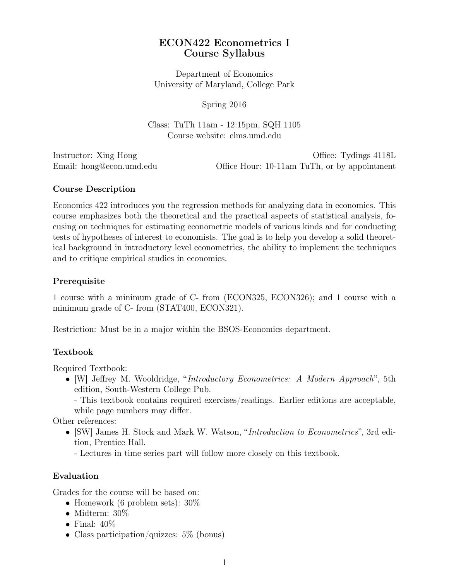# ECON422 Econometrics I Course Syllabus

Department of Economics University of Maryland, College Park

Spring 2016

Class: TuTh 11am - 12:15pm, SQH 1105 Course website: elms.umd.edu

Instructor: Xing Hong  $\blacksquare$ Email: hong@econ.umd.edu Office Hour: 10-11am TuTh, or by appointment

## Course Description

Economics 422 introduces you the regression methods for analyzing data in economics. This course emphasizes both the theoretical and the practical aspects of statistical analysis, focusing on techniques for estimating econometric models of various kinds and for conducting tests of hypotheses of interest to economists. The goal is to help you develop a solid theoretical background in introductory level econometrics, the ability to implement the techniques and to critique empirical studies in economics.

## Prerequisite

1 course with a minimum grade of C- from (ECON325, ECON326); and 1 course with a minimum grade of C- from (STAT400, ECON321).

Restriction: Must be in a major within the BSOS-Economics department.

## Textbook

Required Textbook:

*•* [W] Jeffrey M. Wooldridge, "*Introductory Econometrics: A Modern Approach*", 5th edition, South-Western College Pub.

- This textbook contains required exercises/readings. Earlier editions are acceptable, while page numbers may differ.

Other references:

- *•* [SW] James H. Stock and Mark W. Watson, "*Introduction to Econometrics*", 3rd edition, Prentice Hall.
	- Lectures in time series part will follow more closely on this textbook.

## Evaluation

Grades for the course will be based on:

- *•* Homework (6 problem sets): 30%
- *•* Midterm: 30%
- *•* Final: 40%
- Class participation/quizzes: 5\% (bonus)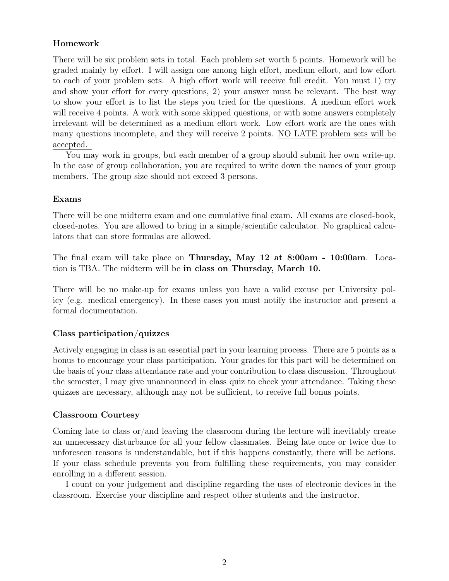## Homework

There will be six problem sets in total. Each problem set worth 5 points. Homework will be graded mainly by effort. I will assign one among high effort, medium effort, and low effort to each of your problem sets. A high effort work will receive full credit. You must 1) try and show your effort for every questions, 2) your answer must be relevant. The best way to show your effort is to list the steps you tried for the questions. A medium effort work will receive 4 points. A work with some skipped questions, or with some answers completely irrelevant will be determined as a medium effort work. Low effort work are the ones with many questions incomplete, and they will receive 2 points. NO LATE problem sets will be accepted.

You may work in groups, but each member of a group should submit her own write-up. In the case of group collaboration, you are required to write down the names of your group members. The group size should not exceed 3 persons.

#### Exams

There will be one midterm exam and one cumulative final exam. All exams are closed-book, closed-notes. You are allowed to bring in a simple/scientific calculator. No graphical calculators that can store formulas are allowed.

The final exam will take place on Thursday, May 12 at 8:00am - 10:00am. Location is TBA. The midterm will be in class on Thursday, March 10.

There will be no make-up for exams unless you have a valid excuse per University policy (e.g. medical emergency). In these cases you must notify the instructor and present a formal documentation.

## Class participation/quizzes

Actively engaging in class is an essential part in your learning process. There are 5 points as a bonus to encourage your class participation. Your grades for this part will be determined on the basis of your class attendance rate and your contribution to class discussion. Throughout the semester, I may give unannounced in class quiz to check your attendance. Taking these quizzes are necessary, although may not be sufficient, to receive full bonus points.

#### Classroom Courtesy

Coming late to class or/and leaving the classroom during the lecture will inevitably create an unnecessary disturbance for all your fellow classmates. Being late once or twice due to unforeseen reasons is understandable, but if this happens constantly, there will be actions. If your class schedule prevents you from fulfilling these requirements, you may consider enrolling in a different session.

I count on your judgement and discipline regarding the uses of electronic devices in the classroom. Exercise your discipline and respect other students and the instructor.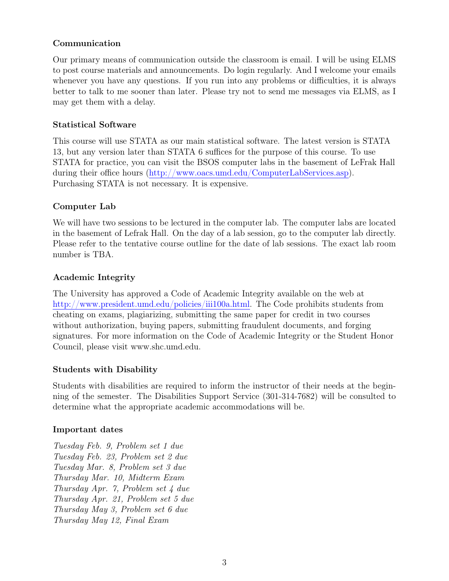## Communication

Our primary means of communication outside the classroom is email. I will be using ELMS to post course materials and announcements. Do login regularly. And I welcome your emails whenever you have any questions. If you run into any problems or difficulties, it is always better to talk to me sooner than later. Please try not to send me messages via ELMS, as I may get them with a delay.

#### Statistical Software

This course will use STATA as our main statistical software. The latest version is STATA 13, but any version later than STATA 6 suffices for the purpose of this course. To use STATA for practice, you can visit the BSOS computer labs in the basement of LeFrak Hall during their office hours [\(http://www.oacs.umd.edu/ComputerLabServices.asp\)](http://www.oacs.umd.edu/ComputerLabServices.asp). Purchasing STATA is not necessary. It is expensive.

## Computer Lab

We will have two sessions to be lectured in the computer lab. The computer labs are located in the basement of Lefrak Hall. On the day of a lab session, go to the computer lab directly. Please refer to the tentative course outline for the date of lab sessions. The exact lab room number is TBA.

### Academic Integrity

The University has approved a Code of Academic Integrity available on the web at [http://www.president.umd.edu/policies/iii100a.html.](http://www.president.umd.edu/policies/iii100a.html) The Code prohibits students from cheating on exams, plagiarizing, submitting the same paper for credit in two courses without authorization, buying papers, submitting fraudulent documents, and forging signatures. For more information on the Code of Academic Integrity or the Student Honor Council, please visit www.shc.umd.edu.

#### Students with Disability

Students with disabilities are required to inform the instructor of their needs at the beginning of the semester. The Disabilities Support Service (301-314-7682) will be consulted to determine what the appropriate academic accommodations will be.

#### Important dates

*Tuesday Feb. 9, Problem set 1 due Tuesday Feb. 23, Problem set 2 due Tuesday Mar. 8, Problem set 3 due Thursday Mar. 10, Midterm Exam Thursday Apr. 7, Problem set 4 due Thursday Apr. 21, Problem set 5 due Thursday May 3, Problem set 6 due Thursday May 12, Final Exam*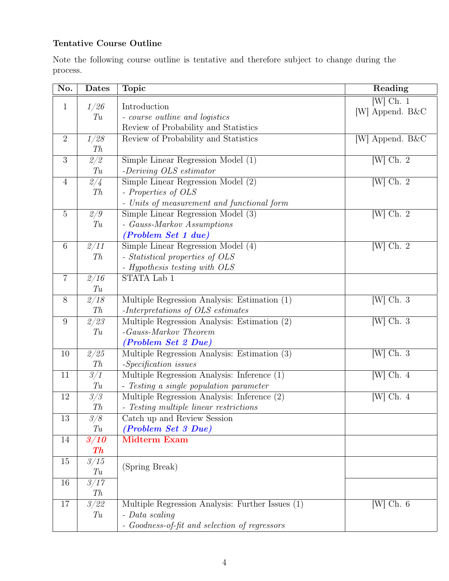# Tentative Course Outline

Note the following course outline is tentative and therefore subject to change during the process.

| No.              | Dates                     | <b>Topic</b>                                     | Reading                       |
|------------------|---------------------------|--------------------------------------------------|-------------------------------|
| $\mathbf{1}$     | 1/26                      | Introduction                                     | $[W]$ Ch. 1                   |
|                  | T u                       | - course outline and logistics                   | [W] Append. B&C               |
|                  |                           | Review of Probability and Statistics             |                               |
| $\overline{2}$   | 1/28                      | Review of Probability and Statistics             | [W] Append. B&C               |
|                  | Th                        |                                                  |                               |
| 3                | 2/2                       | Simple Linear Regression Model (1)               | $[\text{W}]$ Ch. 2            |
|                  | T u                       | -Deriving $OLS\; estimator$                      |                               |
| $\overline{4}$   | 2/4                       | Simple Linear Regression Model (2)               | $[\overline{W}]$ Ch. 2        |
|                  | Th                        | - Properties of OLS                              |                               |
|                  |                           | - Units of measurement and functional form       |                               |
| $\overline{5}$   | 2/9                       | Simple Linear Regression Model (3)               | $[W]$ Ch. 2                   |
|                  | T u                       | - Gauss-Markov Assumptions                       |                               |
|                  |                           | (Problem Set 1 due)                              |                               |
| $6\,$            | $\sqrt{2/11}$             | Simple Linear Regression Model (4)               | $[\text{W}]$ Ch. 2            |
|                  | Th                        | - Statistical properties of OLS                  |                               |
|                  |                           | - Hypothesis testing with OLS                    |                               |
| $\overline{7}$   | $\overline{\frac{2}{16}}$ | STATA Lab 1                                      |                               |
|                  | T u                       |                                                  |                               |
| $8\,$            | 2/18                      | Multiple Regression Analysis: Estimation (1)     | $[W]$ Ch. 3                   |
|                  | Th                        | -Interpretations of OLS estimates                |                               |
| $\boldsymbol{9}$ | $\sqrt{2/23}$             | Multiple Regression Analysis: Estimation $(2)$   | $[\text{W}]$ Ch. 3            |
|                  | T u                       | $-Gauss-Markov Theorem$                          |                               |
|                  |                           | <i>(Problem Set 2 Due)</i>                       |                               |
| 10               | 2/25                      | Multiple Regression Analysis: Estimation (3)     | $\overline{\text{[W] Ch. 3}}$ |
|                  | Th                        | -Specification issues                            |                               |
| 11               | 3/1                       | Multiple Regression Analysis: Inference $(1)$    | $[W]$ Ch. 4                   |
|                  | T u                       | - Testing a single population parameter          |                               |
| $12\,$           | 3/3                       | Multiple Regression Analysis: Inference (2)      | $[W]$ Ch. 4                   |
|                  | Th                        | $-$ Testing multiple linear restrictions         |                               |
| 13               | 3/8                       | Catch up and Review Session                      |                               |
|                  | T u                       | (Problem Set 3 Due)                              |                               |
| 14               | 3/10                      | <b>Midterm Exam</b>                              |                               |
|                  | $\boldsymbol{T}h$         |                                                  |                               |
| 15               | $\overline{\frac{3}{15}}$ | (Spring Break)                                   |                               |
|                  | T u                       |                                                  |                               |
| 16               | $\overline{3/17}$         |                                                  |                               |
|                  | Th                        |                                                  |                               |
| 17               | 3/22                      | Multiple Regression Analysis: Further Issues (1) | $[W]$ Ch. 6                   |
|                  | T u                       | - Data scaling                                   |                               |
|                  |                           | - Goodness-of-fit and selection of regressors    |                               |